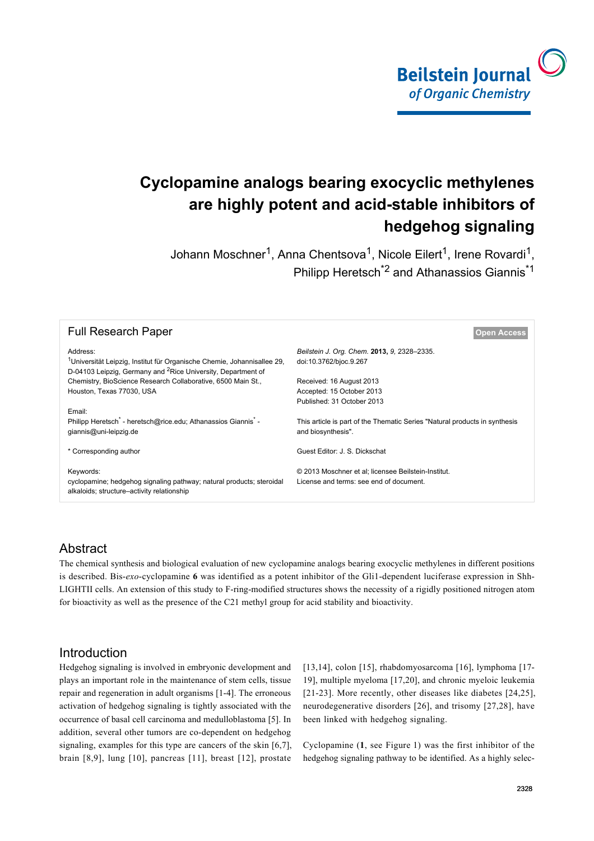

# **Cyclopamine analogs bearing exocyclic methylenes are highly potent and acid-stable inhibitors of hedgehog signaling**

Johann Moschner<sup>1</sup>, Anna Chentsova<sup>1</sup>, Nicole Eilert<sup>1</sup>, Irene Rovardi<sup>1</sup>, Philipp Heretsch\*2 and Athanassios Giannis\*1

| <b>Full Research Paper</b>                                                                                                                                                  | <b>Open Access</b>                                                                                |  |  |
|-----------------------------------------------------------------------------------------------------------------------------------------------------------------------------|---------------------------------------------------------------------------------------------------|--|--|
| Address:<br><sup>1</sup> Universität Leipzig, Institut für Organische Chemie, Johannisallee 29,<br>D-04103 Leipzig, Germany and <sup>2</sup> Rice University, Department of | Beilstein J. Org. Chem. 2013, 9, 2328-2335.<br>doi:10.3762/bjoc.9.267                             |  |  |
| Chemistry, BioScience Research Collaborative, 6500 Main St.,                                                                                                                | Received: 16 August 2013                                                                          |  |  |
| Houston, Texas 77030, USA                                                                                                                                                   | Accepted: 15 October 2013                                                                         |  |  |
|                                                                                                                                                                             | Published: 31 October 2013                                                                        |  |  |
| Email:<br>Philipp Heretsch <sup>*</sup> - heretsch@rice.edu; Athanassios Giannis <sup>*</sup> -<br>giannis@uni-leipzig.de                                                   | This article is part of the Thematic Series "Natural products in synthesis"<br>and biosynthesis". |  |  |
| * Corresponding author                                                                                                                                                      | Guest Editor: J. S. Dickschat                                                                     |  |  |
| Keywords:<br>cyclopamine; hedgehog signaling pathway; natural products; steroidal<br>alkaloids; structure–activity relationship                                             | © 2013 Moschner et al; licensee Beilstein-Institut.<br>License and terms: see end of document.    |  |  |

#### Abstract

The chemical synthesis and biological evaluation of new cyclopamine analogs bearing exocyclic methylenes in different positions is described. Bis-*exo*-cyclopamine **6** was identified as a potent inhibitor of the Gli1-dependent luciferase expression in Shh-LIGHTII cells. An extension of this study to F-ring-modified structures shows the necessity of a rigidly positioned nitrogen atom for bioactivity as well as the presence of the C21 methyl group for acid stability and bioactivity.

#### Introduction

Hedgehog signaling is involved in embryonic development and plays an important role in the maintenance of stem cells, tissue repair and regeneration in adult organisms [\[1-4\]](#page-6-0). The erroneous activation of hedgehog signaling is tightly associated with the occurrence of basal cell carcinoma and medulloblastoma [\[5\]](#page-6-1). In addition, several other tumors are co-dependent on hedgehog signaling, examples for this type are cancers of the skin [\[6,7\]](#page-6-2), brain [\[8,9\]](#page-6-3), lung [\[10\]](#page-6-4), pancreas [\[11\]](#page-6-5), breast [\[12\]](#page-6-6), prostate

[\[13,14\],](#page-6-7) colon [\[15\]](#page-6-8), rhabdomyosarcoma [\[16\]](#page-6-9), lymphoma [\[17-](#page-6-10) [19\],](#page-6-10) multiple myeloma [\[17,20\]](#page-6-10), and chronic myeloic leukemia [\[21-23\]](#page-6-11). More recently, other diseases like diabetes [\[24,25\]](#page-6-12), neurodegenerative disorders [\[26\]](#page-7-0), and trisomy [\[27,28\]](#page-7-1), have been linked with hedgehog signaling.

Cyclopamine (**1**, see [Figure 1](#page-1-0)) was the first inhibitor of the hedgehog signaling pathway to be identified. As a highly selec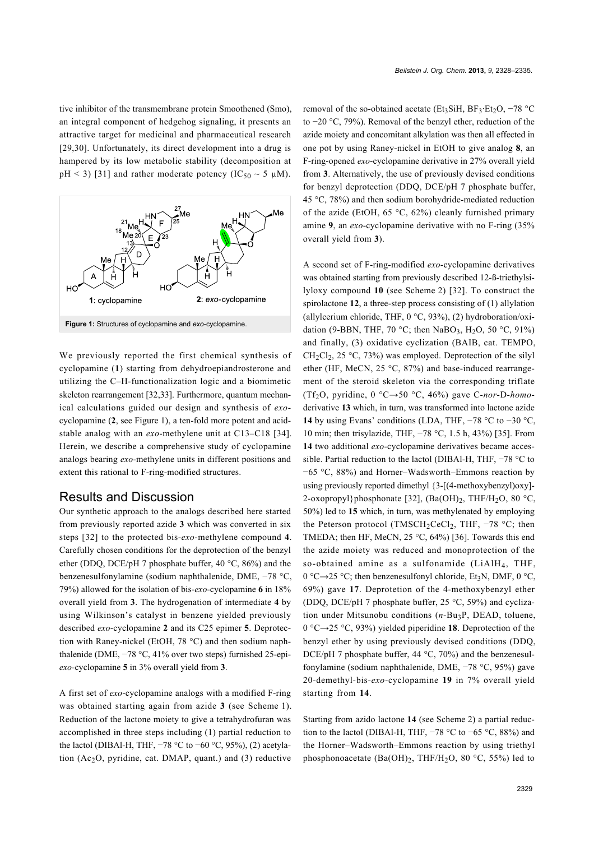tive inhibitor of the transmembrane protein Smoothened (Smo), an integral component of hedgehog signaling, it presents an attractive target for medicinal and pharmaceutical research [\[29,30\]](#page-7-2). Unfortunately, its direct development into a drug is hampered by its low metabolic stability (decomposition at pH < 3) [\[31\]](#page-7-3) and rather moderate potency (IC<sub>50</sub>  $\sim$  5  $\mu$ M).

<span id="page-1-0"></span>

We previously reported the first chemical synthesis of cyclopamine (**1**) starting from dehydroepiandrosterone and utilizing the C–H-functionalization logic and a biomimetic skeleton rearrangement [\[32,33\]](#page-7-4). Furthermore, quantum mechanical calculations guided our design and synthesis of *exo*cyclopamine (**2**, see [Figure 1\)](#page-1-0), a ten-fold more potent and acidstable analog with an *exo*-methylene unit at C13–C18 [\[34\]](#page-7-5). Herein, we describe a comprehensive study of cyclopamine analogs bearing *exo*-methylene units in different positions and extent this rational to F-ring-modified structures.

#### Results and Discussion

Our synthetic approach to the analogs described here started from previously reported azide **3** which was converted in six steps [\[32\]](#page-7-4) to the protected bis-*exo*-methylene compound **4**. Carefully chosen conditions for the deprotection of the benzyl ether (DDQ, DCE/pH 7 phosphate buffer, 40 °C, 86%) and the benzenesulfonylamine (sodium naphthalenide, DME, −78 °C, 79%) allowed for the isolation of bis-*exo*-cyclopamine **6** in 18% overall yield from **3**. The hydrogenation of intermediate **4** by using Wilkinson's catalyst in benzene yielded previously described *exo*-cyclopamine **2** and its C25 epimer **5**. Deprotection with Raney-nickel (EtOH, 78 °C) and then sodium naphthalenide (DME, −78 °C, 41% over two steps) furnished 25-epi*exo*-cyclopamine **5** in 3% overall yield from **3**.

A first set of *exo*-cyclopamine analogs with a modified F-ring was obtained starting again from azide **3** (see [Scheme 1](#page-2-0)). Reduction of the lactone moiety to give a tetrahydrofuran was accomplished in three steps including (1) partial reduction to the lactol (DIBAl-H, THF,  $-78$  °C to  $-60$  °C, 95%), (2) acetylation (Ac2O, pyridine, cat. DMAP, quant.) and (3) reductive

removal of the so-obtained acetate (Et<sub>3</sub>SiH, BF<sub>3</sub>·Et<sub>2</sub>O,  $-78$  °C to −20 °C, 79%). Removal of the benzyl ether, reduction of the azide moiety and concomitant alkylation was then all effected in one pot by using Raney-nickel in EtOH to give analog **8**, an F-ring-opened *exo*-cyclopamine derivative in 27% overall yield from **3**. Alternatively, the use of previously devised conditions for benzyl deprotection (DDQ, DCE/pH 7 phosphate buffer, 45 °C, 78%) and then sodium borohydride-mediated reduction of the azide (EtOH, 65 °C, 62%) cleanly furnished primary amine **9**, an *exo*-cyclopamine derivative with no F-ring (35% overall yield from **3**).

A second set of F-ring-modified *exo*-cyclopamine derivatives was obtained starting from previously described 12-ß-triethylsilyloxy compound **10** (see [Scheme 2](#page-3-0)) [\[32\]](#page-7-4). To construct the spirolactone **12**, a three-step process consisting of (1) allylation (allylcerium chloride, THF,  $0^{\circ}$ C, 93%), (2) hydroboration/oxidation (9-BBN, THF, 70 °C; then NaBO3, H<sub>2</sub>O, 50 °C, 91%) and finally, (3) oxidative cyclization (BAIB, cat. TEMPO,  $CH<sub>2</sub>Cl<sub>2</sub>$ , 25 °C, 73%) was employed. Deprotection of the silyl ether (HF, MeCN, 25 °C, 87%) and base-induced rearrangement of the steroid skeleton via the corresponding triflate (Tf2O, pyridine, 0 °C→50 °C, 46%) gave C-*nor*-D-*homo*derivative **13** which, in turn, was transformed into lactone azide **14** by using Evans' conditions (LDA, THF, −78 °C to −30 °C, 10 min; then trisylazide, THF, −78 °C, 1.5 h, 43%) [\[35\].](#page-7-6) From **14** two additional *exo*-cyclopamine derivatives became accessible. Partial reduction to the lactol (DIBAl-H, THF, −78 °C to −65 °C, 88%) and Horner–Wadsworth–Emmons reaction by using previously reported dimethyl {3-[(4-methoxybenzyl)oxy]- 2-oxopropyl}phosphonate [\[32\]](#page-7-4),  $(Ba(OH)_{2}, THF/H_{2}O, 80 \degree C,$ 50%) led to **15** which, in turn, was methylenated by employing the Peterson protocol (TMSCH<sub>2</sub>CeCl<sub>2</sub>, THF, -78 °C; then TMEDA; then HF, MeCN,  $25 \text{ °C}$ ,  $64\%$  [\[36\].](#page-7-7) Towards this end the azide moiety was reduced and monoprotection of the so-obtained amine as a sulfonamide  $(LiA)H_4$ , THF,  $0 \text{ }^{\circ}\text{C} \rightarrow 25 \text{ }^{\circ}\text{C}$ ; then benzenesulfonyl chloride, Et<sub>3</sub>N, DMF,  $0 \text{ }^{\circ}\text{C}$ , 69%) gave **17**. Deprotetion of the 4-methoxybenzyl ether (DDQ, DCE/pH 7 phosphate buffer, 25 °C, 59%) and cyclization under Mitsunobu conditions (*n*-Bu<sub>3</sub>P, DEAD, toluene, 0 °C→25 °C, 93%) yielded piperidine **18**. Deprotection of the benzyl ether by using previously devised conditions (DDQ, DCE/pH 7 phosphate buffer, 44 °C, 70%) and the benzenesulfonylamine (sodium naphthalenide, DME, −78 °C, 95%) gave 20-demethyl-bis-*exo*-cyclopamine **19** in 7% overall yield starting from **14**.

Starting from azido lactone **14** (see [Scheme 2](#page-3-0)) a partial reduction to the lactol (DIBAl-H, THF, −78 °C to −65 °C, 88%) and the Horner–Wadsworth–Emmons reaction by using triethyl phosphonoacetate  $(Ba(OH)_2, THF/H_2O, 80 °C, 55%)$  led to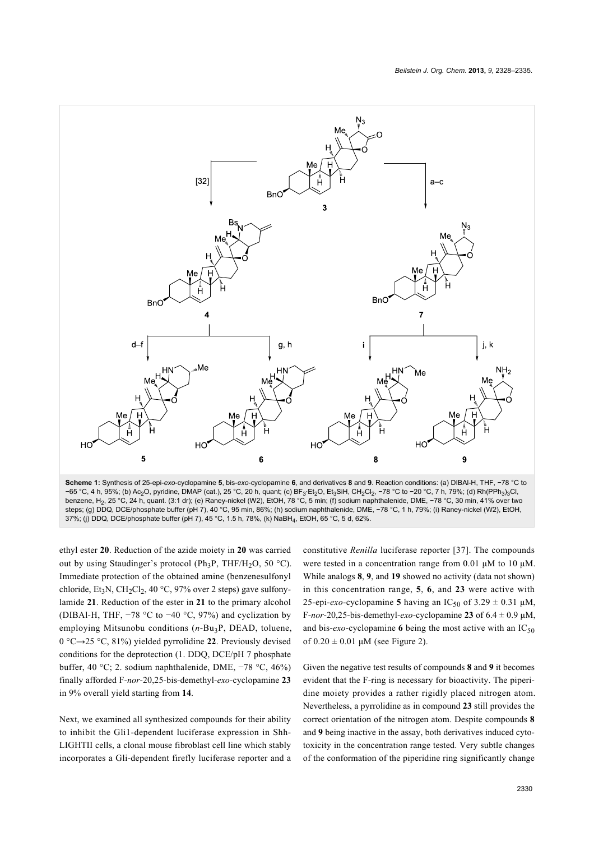<span id="page-2-0"></span>

**Scheme 1:** Synthesis of 25-epi-*exo*-cyclopamine **5**, bis-*exo*-cyclopamine **6**, and derivatives **8** and **9**. Reaction conditions: (a) DIBAl-H, THF, −78 °C to −65 °C, 4 h, 95%; (b) Ac2O, pyridine, DMAP (cat.), 25 °C, 20 h, quant; (c) BF3·Et2O, Et3SiH, CH2Cl2, -78 °C to -20 °C, 7 h, 79%; (d) Rh(PPh3)3Cl, benzene, H2, 25 °C, 24 h, quant. (3:1 dr); (e) Raney-nickel (W2), EtOH, 78 °C, 5 min; (f) sodium naphthalenide, DME, −78 °C, 30 min, 41% over two steps; (g) DDQ, DCE/phosphate buffer (pH 7), 40 °C, 95 min, 86%; (h) sodium naphthalenide, DME, −78 °C, 1 h, 79%; (i) Raney-nickel (W2), EtOH, 37%; (j) DDQ, DCE/phosphate buffer (pH 7), 45 °C, 1.5 h, 78%, (k) NaBH4, EtOH, 65 °C, 5 d, 62%.

ethyl ester **20**. Reduction of the azide moiety in **20** was carried out by using Staudinger's protocol (Ph<sub>3</sub>P, THF/H<sub>2</sub>O, 50 °C). Immediate protection of the obtained amine (benzenesulfonyl chloride, Et<sub>3</sub>N, CH<sub>2</sub>Cl<sub>2</sub>, 40 °C, 97% over 2 steps) gave sulfonylamide **21**. Reduction of the ester in **21** to the primary alcohol (DIBAl-H, THF, −78 °C to −40 °C, 97%) and cyclization by employing Mitsunobu conditions (*n*-Bu<sub>3</sub>P, DEAD, toluene, 0 °C→25 °C, 81%) yielded pyrrolidine **22**. Previously devised conditions for the deprotection (1. DDQ, DCE/pH 7 phosphate buffer, 40 °C; 2. sodium naphthalenide, DME, −78 °C, 46%) finally afforded F-*nor*-20,25-bis-demethyl-*exo*-cyclopamine **23** in 9% overall yield starting from **14**.

Next, we examined all synthesized compounds for their ability to inhibit the Gli1-dependent luciferase expression in Shh-LIGHTII cells, a clonal mouse fibroblast cell line which stably incorporates a Gli-dependent firefly luciferase reporter and a

constitutive *Renilla* luciferase reporter [\[37\]](#page-7-8). The compounds were tested in a concentration range from 0.01 μM to 10 μM. While analogs **8**, **9**, and **19** showed no activity (data not shown) in this concentration range, **5**, **6**, and **23** were active with 25-epi-*exo*-cyclopamine **5** having an  $IC_{50}$  of  $3.29 \pm 0.31$   $\mu$ M, F-*nor*-20,25-bis-demethyl-*exo*-cyclopamine **23** of 6.4 ± 0.9 μM, and bis- $exo$ -cyclopamine **6** being the most active with an  $IC_{50}$ of  $0.20 \pm 0.01 \mu M$  (see [Figure 2](#page-4-0)).

Given the negative test results of compounds **8** and **9** it becomes evident that the F-ring is necessary for bioactivity. The piperidine moiety provides a rather rigidly placed nitrogen atom. Nevertheless, a pyrrolidine as in compound **23** still provides the correct orientation of the nitrogen atom. Despite compounds **8** and **9** being inactive in the assay, both derivatives induced cytotoxicity in the concentration range tested. Very subtle changes of the conformation of the piperidine ring significantly change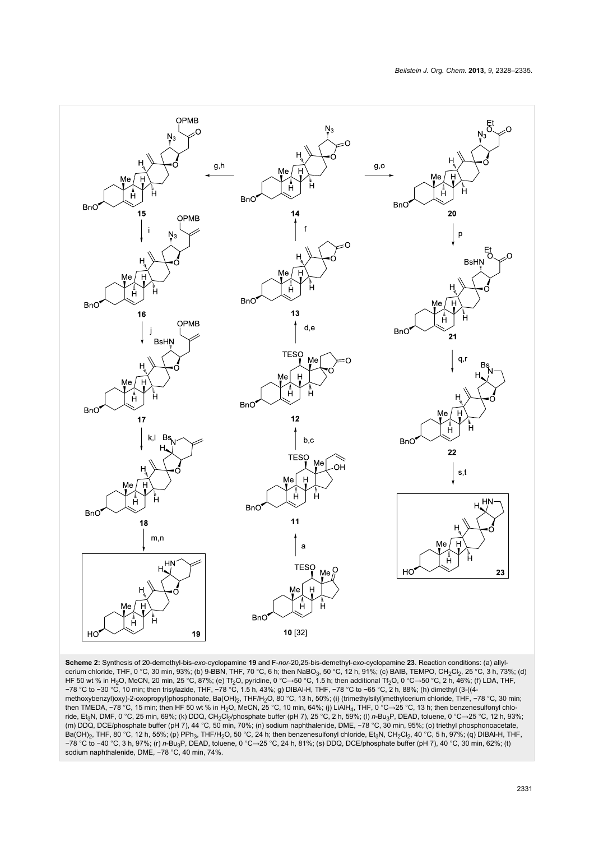<span id="page-3-0"></span>

**Scheme 2:** Synthesis of 20-demethyl-bis-*exo*-cyclopamine **19** and F-*nor*-20,25-bis-demethyl-*exo*-cyclopamine **23**. Reaction conditions: (a) allylcerium chloride, THF, 0 °C, 30 min, 93%; (b) 9-BBN, THF, 70 °C, 6 h; then NaBO3, 50 °C, 12 h, 91%; (c) BAIB, TEMPO, CH2Cl2, 25 °C, 3 h, 73%; (d) HF 50 wt % in H2O, MeCN, 20 min, 25 °C, 87%; (e) Tf2O, pyridine, 0 °C→50 °C, 1.5 h; then additional Tf2O, 0 °C→50 °C, 2 h, 46%; (f) LDA, THF, −78 °C to −30 °C, 10 min; then trisylazide, THF, −78 °C, 1.5 h, 43%; g) DIBAl-H, THF, −78 °C to −65 °C, 2 h, 88%; (h) dimethyl (3-((4 methoxybenzyl)oxy)-2-oxopropyl)phosphonate, Ba(OH)2, THF/H2O, 80 °C, 13 h, 50%; (i) (trimethylsilyl)methylcerium chloride, THF, −78 °C, 30 min; then TMEDA, −78 °C, 15 min; then HF 50 wt % in H2O, MeCN, 25 °C, 10 min, 64%; (j) LiAlH4, THF, 0 °C→25 °C, 13 h; then benzenesulfonyl chloride, Et3N, DMF, 0 °C, 25 min, 69%; (k) DDQ, CH2Cl2/phosphate buffer (pH 7), 25 °C, 2 h, 59%; (l) *n*-Bu3P, DEAD, toluene, 0 °C→25 °C, 12 h, 93%; (m) DDQ, DCE/phosphate buffer (pH 7), 44 °C, 50 min, 70%; (n) sodium naphthalenide, DME, −78 °C, 30 min, 95%; (o) triethyl phosphonoacetate, Ba(OH)<sub>2</sub>, THF, 80 °C, 12 h, 55%; (p) PPh<sub>3</sub>, THF/H<sub>2</sub>O, 50 °C, 24 h; then benzenesulfonyl chloride, Et<sub>3</sub>N, CH<sub>2</sub>Cl<sub>2</sub>, 40 °C, 5 h, 97%; (q) DIBAI-H, THF, −78 °C to −40 °C, 3 h, 97%; (r) *n*-Bu3P, DEAD, toluene, 0 °C→25 °C, 24 h, 81%; (s) DDQ, DCE/phosphate buffer (pH 7), 40 °C, 30 min, 62%; (t) sodium naphthalenide, DME, −78 °C, 40 min, 74%.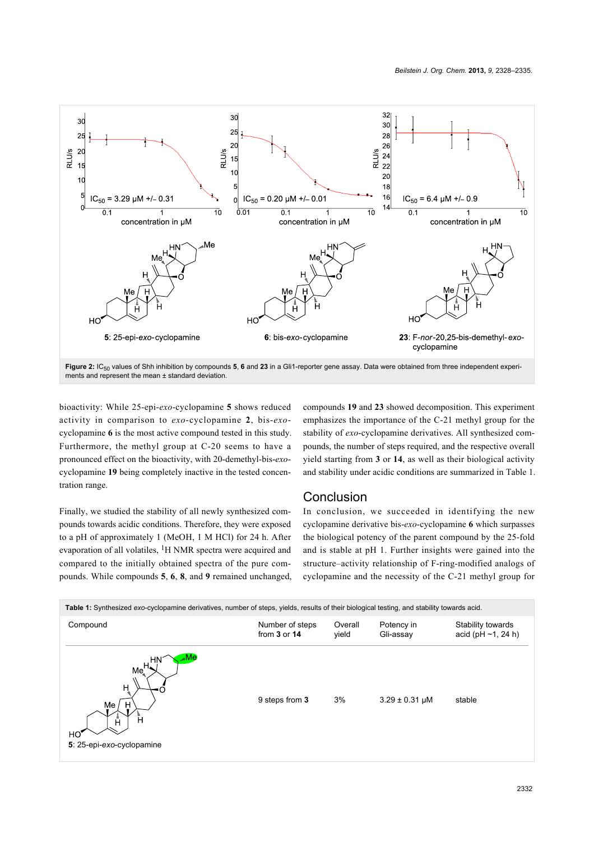<span id="page-4-0"></span>

Figure 2: IC<sub>50</sub> values of Shh inhibition by compounds 5, 6 and 23 in a Gli1-reporter gene assay. Data were obtained from three independent experiments and represent the mean ± standard deviation.

bioactivity: While 25-epi-*exo*-cyclopamine **5** shows reduced activity in comparison to *exo*-cyclopamine **2**, bis-*exo*cyclopamine **6** is the most active compound tested in this study. Furthermore, the methyl group at C-20 seems to have a pronounced effect on the bioactivity, with 20-demethyl-bis-*exo*cyclopamine **19** being completely inactive in the tested concentration range.

pounds towards acidic conditions. Therefore, they were exposed

evaporation of all volatiles, <sup>1</sup>H NMR spectra were acquired and compared to the initially obtained spectra of the pure comcompounds **19** and **23** showed decomposition. This experiment emphasizes the importance of the C-21 methyl group for the stability of *exo*-cyclopamine derivatives. All synthesized compounds, the number of steps required, and the respective overall yield starting from **3** or **14**, as well as their biological activity and stability under acidic conditions are summarized in [Table 1](#page-4-1).

## **Conclusion**

Finally, we studied the stability of all newly synthesized comto a pH of approximately 1 (MeOH, 1 M HCl) for 24 h. After pounds. While compounds **5**, **6**, **8**, and **9** remained unchanged, In conclusion, we succeeded in identifying the new cyclopamine derivative bis-*exo*-cyclopamine **6** which surpasses the biological potency of the parent compound by the 25-fold and is stable at pH 1. Further insights were gained into the structure–activity relationship of F-ring-modified analogs of cyclopamine and the necessity of the C-21 methyl group for

<span id="page-4-1"></span>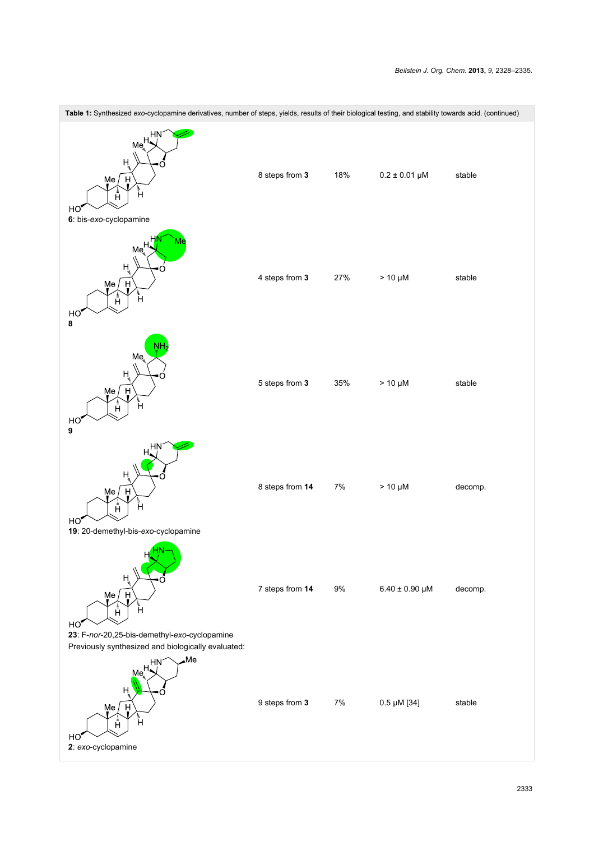| Table 1: Synthesized exo-cyclopamine derivatives, number of steps, yields, results of their biological testing, and stability towards acid. (continued) |                 |       |                         |         |  |
|---------------------------------------------------------------------------------------------------------------------------------------------------------|-----------------|-------|-------------------------|---------|--|
| HN<br>$Me^{H_{\star}}$<br>H,<br>H<br>Me<br>.<br>H<br>أً<br>HO,<br>6: bis-exo-cyclopamine                                                                | 8 steps from 3  | 18%   | $0.2 \pm 0.01 \,\mu M$  | stable  |  |
| Me <sub>s</sub> <sup>H</sup><br>H,<br>H<br>Мe<br>أً<br>Å<br>HO<br>8                                                                                     | 4 steps from 3  | 27%   | $> 10 \mu M$            | stable  |  |
| NΗ<br>Me<br>Ĥ<br>Me<br>H<br>أً<br>Å<br>HO,<br>9                                                                                                         | 5 steps from 3  | 35%   | $> 10 \mu M$            | stable  |  |
| HN<br>н<br>Me<br>H<br>ءُ<br>H<br>$\begin{bmatrix} 1 \\ 1 \end{bmatrix}$<br>HO,<br>19: 20-demethyl-bis-exo-cyclopamine                                   | 8 steps from 14 | $7\%$ | $> 10 \mu M$            | decomp. |  |
| $H^2$ HN-<br>H,<br>Me<br>Н<br>Å<br>Ĥ<br>HO'<br>23: F-nor-20,25-bis-demethyl-exo-cyclopamine<br>Previously synthesized and biologically evaluated:       | 7 steps from 14 | $9\%$ | $6.40 \pm 0.90 \,\mu M$ | decomp. |  |
| $\square$<br>HN<br>Me <sup>H<sub>4</sub></sup><br>н<br>Me<br>H<br>Å<br>Ĥ<br>HO,<br>2: exo-cyclopamine                                                   | 9 steps from 3  | $7\%$ | $0.5 \mu M$ [34]        | stable  |  |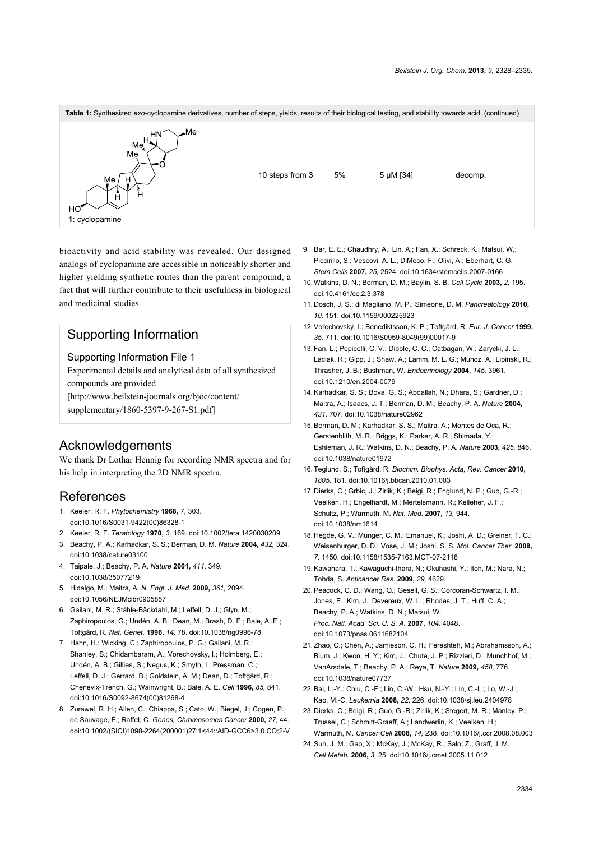

bioactivity and acid stability was revealed. Our designed analogs of cyclopamine are accessible in noticeably shorter and higher yielding synthetic routes than the parent compound, a fact that will further contribute to their usefulness in biological and medicinal studies.

## Supporting Information

#### Supporting Information File 1

Experimental details and analytical data of all synthesized compounds are provided.

[\[http://www.beilstein-journals.org/bjoc/content/](http://www.beilstein-journals.org/bjoc/content/supplementary/1860-5397-9-267-S1.pdf)

[supplementary/1860-5397-9-267-S1.pdf\]](http://www.beilstein-journals.org/bjoc/content/supplementary/1860-5397-9-267-S1.pdf)

## Acknowledgements

We thank Dr Lothar Hennig for recording NMR spectra and for his help in interpreting the 2D NMR spectra.

## References

- <span id="page-6-0"></span>1. Keeler, R. F. *Phytochemistry* **1968,** *7,* 303. [doi:10.1016/S0031-9422\(00\)86328-1](http://dx.doi.org/10.1016%2FS0031-9422%2800%2986328-1)
- 2. Keeler, R. F. *Teratology* **1970,** *3,* 169. [doi:10.1002/tera.1420030209](http://dx.doi.org/10.1002%2Ftera.1420030209)
- 3. Beachy, P. A.; Karhadkar, S. S.; Berman, D. M. *Nature* **2004,** *432,* 324. [doi:10.1038/nature03100](http://dx.doi.org/10.1038%2Fnature03100)
- 4. Taipale, J.; Beachy, P. A. *Nature* **2001,** *411,* 349. [doi:10.1038/35077219](http://dx.doi.org/10.1038%2F35077219)
- <span id="page-6-1"></span>5. Hidalgo, M.; Maitra, A. *N. Engl. J. Med.* **2009,** *361,* 2094. [doi:10.1056/NEJMcibr0905857](http://dx.doi.org/10.1056%2FNEJMcibr0905857)
- <span id="page-6-2"></span>6. Gailani, M. R.; Ståhle-Bäckdahl, M.; Leffell, D. J.; Glyn, M.; Zaphiropoulos, G.; Undén, A. B.; Dean, M.; Brash, D. E.; Bale, A. E.; Toftgård, R. *Nat. Genet.* **1996,** *14,* 78. [doi:10.1038/ng0996-78](http://dx.doi.org/10.1038%2Fng0996-78)
- 7. Hahn, H.; Wicking, C.; Zaphiropoulos, P. G.; Gailani, M. R.; Shanley, S.; Chidambaram, A.; Vorechovsky, I.; Holmberg, E.; Undén, A. B.; Gillies, S.; Negus, K.; Smyth, I.; Pressman, C.; Leffell, D. J.; Gerrard, B.; Goldstein, A. M.; Dean, D.; Toftgård, R.; Chenevix-Trench, G.; Wainwright, B.; Bale, A. E. *Cell* **1996,** *85,* 841. [doi:10.1016/S0092-8674\(00\)81268-4](http://dx.doi.org/10.1016%2FS0092-8674%2800%2981268-4)
- <span id="page-6-3"></span>8. Zurawel, R. H.; Allen, C.; Chiappa, S.; Cato, W.; Biegel, J.; Cogen, P.; de Sauvage, F.; Raffel, C. *Genes, Chromosomes Cancer* **2000,** *27,* 44. [doi:10.1002/\(SICI\)1098-2264\(200001\)27:1<44::AID-GCC6>3.0.CO;2-V](http://dx.doi.org/10.1002%2F%28SICI%291098-2264%28200001%2927%3A1%3C44%3A%3AAID-GCC6%3E3.0.CO%3B2-V)
- 9. Bar, E. E.; Chaudhry, A.; Lin, A.; Fan, X.; Schreck, K.; Matsui, W.; Piccirillo, S.; Vescovi, A. L.; DiMeco, F.; Olivi, A.; Eberhart, C. G. *Stem Cells* **2007,** *25,* 2524. [doi:10.1634/stemcells.2007-0166](http://dx.doi.org/10.1634%2Fstemcells.2007-0166)
- <span id="page-6-4"></span>10.Watkins, D. N.; Berman, D. M.; Baylin, S. B. *Cell Cycle* **2003,** *2,* 195. [doi:10.4161/cc.2.3.378](http://dx.doi.org/10.4161%2Fcc.2.3.378)
- <span id="page-6-5"></span>11. Dosch, J. S.; di Magliano, M. P.; Simeone, D. M. *Pancreatology* **2010,** *10,* 151. [doi:10.1159/000225923](http://dx.doi.org/10.1159%2F000225923)
- <span id="page-6-6"></span>12.Vořechovský, I.; Benediktsson, K. P.; Toftgård, R. *Eur. J. Cancer* **1999,** *35,* 711. [doi:10.1016/S0959-8049\(99\)00017-9](http://dx.doi.org/10.1016%2FS0959-8049%2899%2900017-9)
- <span id="page-6-7"></span>13.Fan, L.; Pepicelli, C. V.; Dibble, C. C.; Catbagan, W.; Zarycki, J. L.; Laciak, R.; Gipp, J.; Shaw, A.; Lamm, M. L. G.; Munoz, A.; Lipinski, R.; Thrasher, J. B.; Bushman, W. *Endocrinology* **2004,** *145,* 3961. [doi:10.1210/en.2004-0079](http://dx.doi.org/10.1210%2Fen.2004-0079)
- 14.Karhadkar, S. S.; Bova, G. S.; Abdallah, N.; Dhara, S.; Gardner, D.; Maitra, A.; Isaacs, J. T.; Berman, D. M.; Beachy, P. A. *Nature* **2004,** *431,* 707. [doi:10.1038/nature02962](http://dx.doi.org/10.1038%2Fnature02962)
- <span id="page-6-8"></span>15.Berman, D. M.; Karhadkar, S. S.; Maitra, A.; Montes de Oca, R.; Gerstenblith, M. R.; Briggs, K.; Parker, A. R.; Shimada, Y.; Eshleman, J. R.; Watkins, D. N.; Beachy, P. A. *Nature* **2003,** *425,* 846. [doi:10.1038/nature01972](http://dx.doi.org/10.1038%2Fnature01972)
- <span id="page-6-9"></span>16.Teglund, S.; Toftgård, R. *Biochim. Biophys. Acta, Rev. Cancer* **2010,** *1805,* 181. [doi:10.1016/j.bbcan.2010.01.003](http://dx.doi.org/10.1016%2Fj.bbcan.2010.01.003)
- <span id="page-6-10"></span>17. Dierks, C.; Grbic, J.; Zirlik, K.; Beigi, R.; Englund, N. P.; Guo, G.-R.; Veelken, H.; Engelhardt, M.; Mertelsmann, R.; Kelleher, J. F.; Schultz, P.; Warmuth, M. *Nat. Med.* **2007,** *13,* 944. [doi:10.1038/nm1614](http://dx.doi.org/10.1038%2Fnm1614)
- 18. Hegde, G. V.; Munger, C. M.; Emanuel, K.; Joshi, A. D.; Greiner, T. C.; Weisenburger, D. D.; Vose, J. M.; Joshi, S. S. *Mol. Cancer Ther.* **2008,** *7,* 1450. [doi:10.1158/1535-7163.MCT-07-2118](http://dx.doi.org/10.1158%2F1535-7163.MCT-07-2118)
- 19.Kawahara, T.; Kawaguchi-Ihara, N.; Okuhashi, Y.; Itoh, M.; Nara, N.; Tohda, S. *Anticancer Res.* **2009,** *29,* 4629.
- 20.Peacock, C. D.; Wang, Q.; Gesell, G. S.; Corcoran-Schwartz, I. M.; Jones, E.; Kim, J.; Devereux, W. L.; Rhodes, J. T.; Huff, C. A.; Beachy, P. A.; Watkins, D. N.; Matsui, W. *Proc. Natl. Acad. Sci. U. S. A.* **2007,** *104,* 4048. [doi:10.1073/pnas.0611682104](http://dx.doi.org/10.1073%2Fpnas.0611682104)
- <span id="page-6-11"></span>21.Zhao, C.; Chen, A.; Jamieson, C. H.; Fereshteh, M.; Abrahamsson, A.; Blum, J.; Kwon, H. Y.; Kim, J.; Chute, J. P.; Rizzieri, D.; Munchhof, M.; VanArsdale, T.; Beachy, P. A.; Reya, T. *Nature* **2009,** *458,* 776. [doi:10.1038/nature07737](http://dx.doi.org/10.1038%2Fnature07737)
- 22.Bai, L.-Y.; Chiu, C.-F.; Lin, C.-W.; Hsu, N.-Y.; Lin, C.-L.; Lo, W.-J.; Kao, M.-C. *Leukemia* **2008,** *22,* 226. [doi:10.1038/sj.leu.2404978](http://dx.doi.org/10.1038%2Fsj.leu.2404978)
- 23. Dierks, C.; Beigi, R.; Guo, G.-R.; Zirlik, K.; Stegert, M. R.; Manley, P.; Trussel, C.; Schmitt-Graeff, A.; Landwerlin, K.; Veelken, H.; Warmuth, M. *Cancer Cell* **2008,** *14,* 238. [doi:10.1016/j.ccr.2008.08.003](http://dx.doi.org/10.1016%2Fj.ccr.2008.08.003)
- <span id="page-6-12"></span>24.Suh, J. M.; Gao, X.; McKay, J.; McKay, R.; Salo, Z.; Graff, J. M. *Cell Metab.* **2006,** *3,* 25. [doi:10.1016/j.cmet.2005.11.012](http://dx.doi.org/10.1016%2Fj.cmet.2005.11.012)